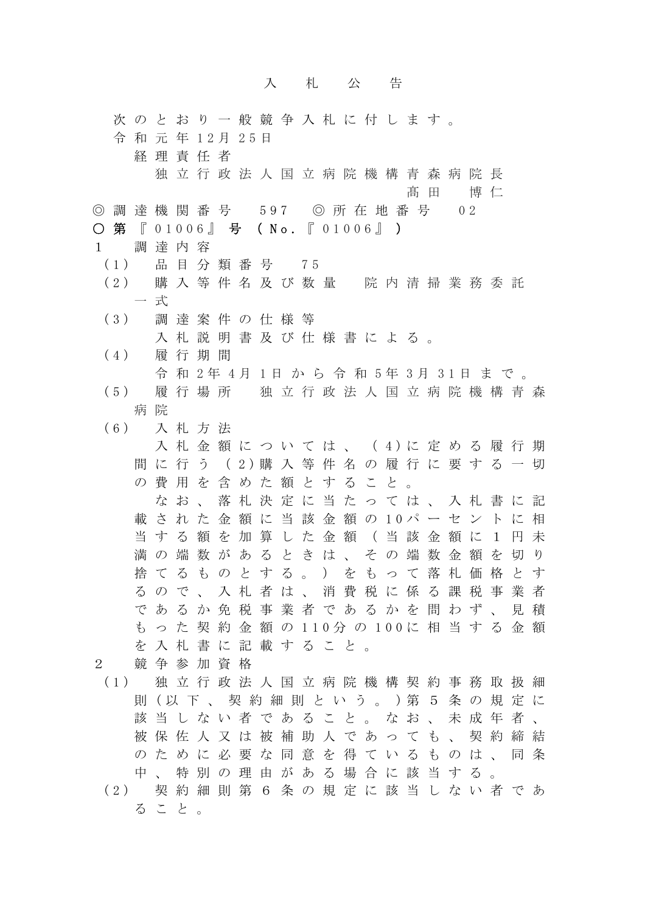## 入札公告

次のとおり一般競争入札に付します。 令 和 元 年 1 2 月 2 5 日 経理責任者 独立行政法人国立病院機構青森病院長 髙田 博仁 ◎ 調 達 機 関 番 号 597 ◎ 所 在 地 番 号 02 ○ 第 『 01006』 号 ( No. 『 01006』 ) 1 調達内容 (1) 品 目 分 類 番 号 7 5 (2) 購 入 等 件 名 及 び 数 量 院 内 清 掃 業 務 委 託 一 式 (3) 調 達 案 件 の 仕 様 等 入札説明書及び仕様書による。 (4) 履 行 期 間 令 和 2 年 4 月 1 日から令和 5 年 3 月 3 1 日まで。 (5) 履 行 場 所 独立行政法人国立病院機構青森 病 院 (6) 入 札 方 法 入 札 金 額 に つ い て は 、 ( 4)に 定 め る 履 行 期 間 に 行 う ( 2)購 入 等 件 名 の 履 行 に 要 す る 一 切 の費用を含めた額とすること。 なお、落札決定に当たっては、入札書に記 載 さ れ た 金 額 に 当 該 金 額 の 10パ ー セ ン ト に 相 当する額を加算した金額(当該金額に1円未 満の端数があるときは、その端数金額を切り 捨てるものとする。)をもって落札価格とす るので、入札者は、消費税に係る課税事業者 であるか免税事業者であるかを問わず、見積 も っ た 契 約 金 額 の 110分 の 100に 相 当 す る 金 額 を入札書に記載すること。 2 競争参加資格 (1) 独 立 行 政 法 人 国 立 病 院 機 構 契 約 事 務 取 扱 細 則 (以 下 、 契 約 細 則 と い う 。 )第 5 条 の 規 定 に 該当しない者であること。なお、未成年者、 被保佐人又は被補助人であっても、契約締結 のために必要な同意を得ているものは、同条 中、特別の理由がある場合に該当する。

(2) 契 約 細 則 第 6 条 の 規 定 に 該 当 し な い 者 で あ ること。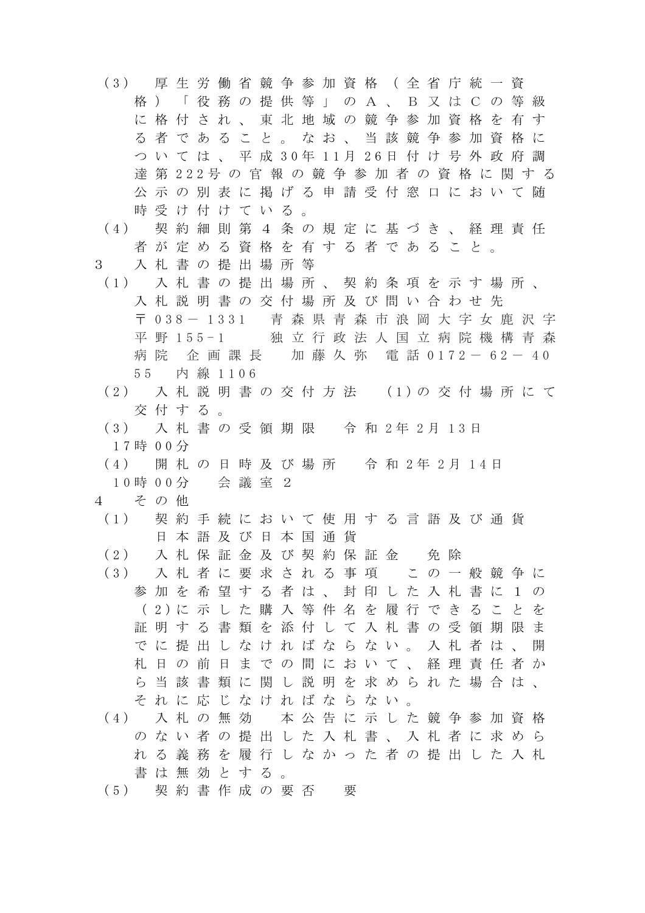- (3) 厚 生 労 働 省 競 争 参 加 資 格 ( 全 省 庁 統 一 資 格)「役務の提供等」の A、B又はC の等級 に格付され、 東 北 地域の競争参加資格を有す る者であること。なお、当該競争参加資格に つ い て は 、 平 成 30年 11月 26日 付 け 号 外 政 府 調 達 第 222号 の 官 報 の 競 争 参 加 者 の 資 格 に 関 す る 公示の別表に掲げる申請受付窓口において随 時受け付けている。
- (4) 契 約 細 則 第 4 条 の 規 定 に 基 づ き 、 経 理 責 任 者が定める資格を有する者であること。 3 入札書の提出場所等
- (1) 入 札 書 の 提 出 場 所 、 契 約 条 項 を 示 す 場 所 、 入札説明書の交付場所及び問い合わせ先 〒 038- 1331 青 森 県 青 森 市 浪 岡 大 字 女 鹿 沢 字 平 野 155-1 独 立 行 政 法 人国立病院機構青森
- 55 内 線 1106 (2) 入 札 説 明 書 の 交 付 方 法 (1)の 交 付 場 所 に て 交付する。

病院 企画課長 加藤久弥 電話 0172- 62- 40

- (3) 入 札 書 の 受 領 期 限 令 和 2 年 2 月 1 3 日 17時 00分
- (4) 開 札 の 日 時 及 び 場 所 令 和 2年 2 月 1 4 日 1 0 時 0 0 分 会議室2
- 4 その他
- (1) 契 約 手 続 に お い て 使 用 す る 言 語 及 び 通 貨 日本語及び日本国通貨
- (2) 入札保証金及び契約保証金 免除 (3) 入 札 者 に 要 求 さ れ る 事 項 こ の 一 般 競 争 に 参加を希望する者は、封印した入札書に1の ( 2)に 示 し た 購 入 等 件 名 を 履 行 で き る こ と を 証明する書類を添付して入札書の受領期限ま でに提出しなければならない。入札者は、開 札日の前日までの間において、経理責任者か ら当該書類に関し説明を求められた場合は、 それに応じなければならない。 (4) 入 札 の 無 効 本 公 告 に 示 し た 競 争 参 加 資 格
- のない者の提出した入札書、入札者に求めら れる義務を履行しなかった者の提出した入札 書は無効とする。
- (5) 契 約 書 作 成 の 要 否 要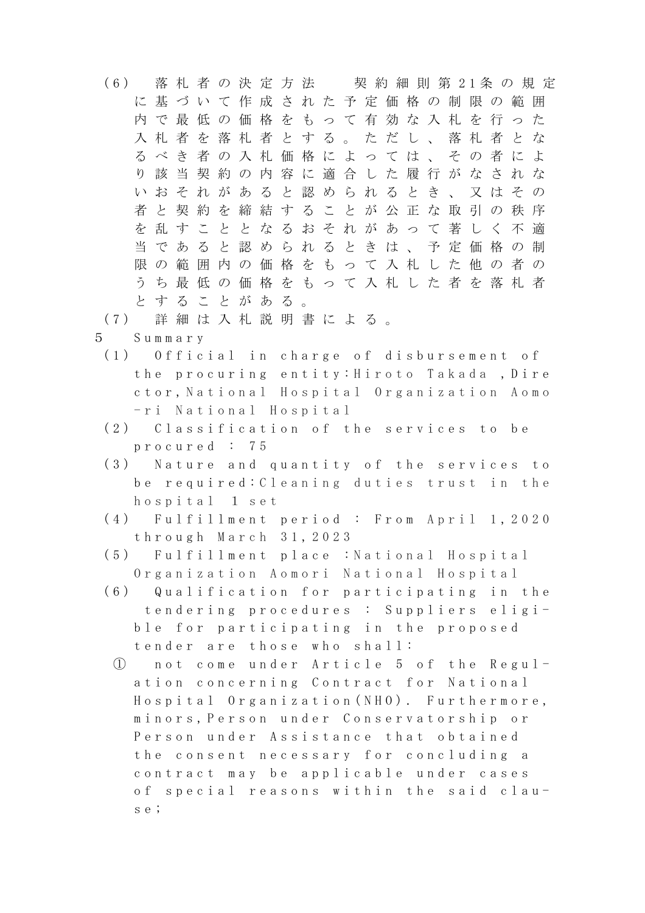- (6) 落 札 者 の 決 定 方 法 契 約 細 則 第 21条 の 規 定 に基づいて作成された予定価格の制限の範囲 内で最低の価格をもって有効な入札を行った 入札者を落札者とする。ただし、落札者とな るべき者の入札価格によっては、その者によ り該当契約の内容に適合した履行がなされな いおそれがあると認められるとき、又はその 者と契約を締結することが公正な取引の秩序 を乱すこととなるおそれがあって著しく不適 当であると認められるときは、予定価格の制 限の範囲内の価格をもって入札した他の者の うち最低の価格をもって入札した者を落札者 とすることがある。
- (7) 詳 細 は 入 札 説 明 書 に よ る 。
- 5 Summary
- (1) Official in charge of disbursement of the procuring entity: Hiroto Takada ,Dire ctor, National Hospital Organization Aomo -ri National Hospital
- (2) Classification of the services to be procured : 7 5
- (3) Nature and quantity of the services to be required: Cleaning duties trust in the hospital 1 set
- (4) Fulfillment period : From April 1, 2020 through March 31 , 2023
- (5) Fulfillment place : National Hospital Organization Aomori National Hospital
- (6) Qualification for participating in the tendering procedures : Suppliers eligible for participating in the proposed tender are those who shall:
- ① not come under Article 5 of the Regulation concerning Contract for National Hospital Organization(NHO). Furthermore, minors,Person under Conservatorship or Person under Assistance that obtained the consent necessary for concluding a contract may be applicable under cases of special reasons within the said clause;